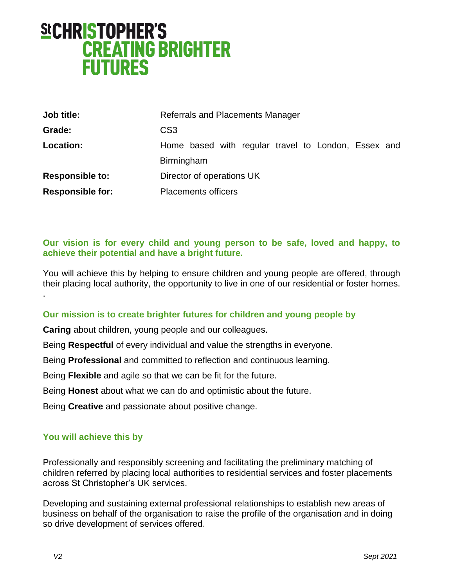# **SICHRISTOPHER'S CREATING BRIGHTER FUTURES**

| Job title:              | Referrals and Placements Manager                    |  |
|-------------------------|-----------------------------------------------------|--|
| Grade:                  | CS <sub>3</sub>                                     |  |
| Location:               | Home based with regular travel to London, Essex and |  |
|                         | Birmingham                                          |  |
| <b>Responsible to:</b>  | Director of operations UK                           |  |
| <b>Responsible for:</b> | <b>Placements officers</b>                          |  |

#### **Our vision is for every child and young person to be safe, loved and happy, to achieve their potential and have a bright future.**

You will achieve this by helping to ensure children and young people are offered, through their placing local authority, the opportunity to live in one of our residential or foster homes.

#### **Our mission is to create brighter futures for children and young people by**

**Caring** about children, young people and our colleagues.

Being **Respectful** of every individual and value the strengths in everyone.

Being **Professional** and committed to reflection and continuous learning.

Being **Flexible** and agile so that we can be fit for the future.

Being **Honest** about what we can do and optimistic about the future.

Being **Creative** and passionate about positive change.

#### **You will achieve this by**

Professionally and responsibly screening and facilitating the preliminary matching of children referred by placing local authorities to residential services and foster placements across St Christopher's UK services.

Developing and sustaining external professional relationships to establish new areas of business on behalf of the organisation to raise the profile of the organisation and in doing so drive development of services offered.

.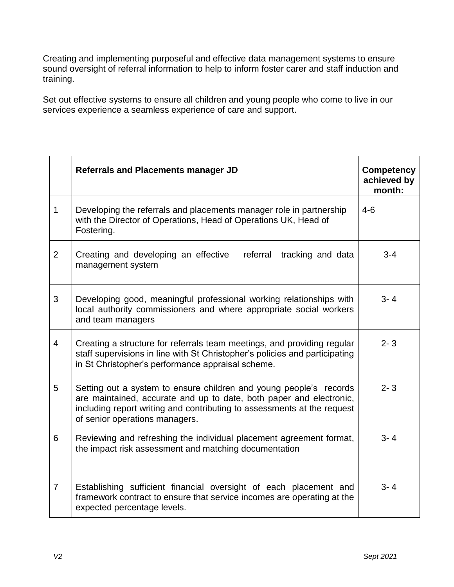Creating and implementing purposeful and effective data management systems to ensure sound oversight of referral information to help to inform foster carer and staff induction and training.

Set out effective systems to ensure all children and young people who come to live in our services experience a seamless experience of care and support.

|                | <b>Referrals and Placements manager JD</b>                                                                                                                                                                                                             | <b>Competency</b><br>achieved by<br>month: |
|----------------|--------------------------------------------------------------------------------------------------------------------------------------------------------------------------------------------------------------------------------------------------------|--------------------------------------------|
| $\mathbf{1}$   | Developing the referrals and placements manager role in partnership<br>with the Director of Operations, Head of Operations UK, Head of<br>Fostering.                                                                                                   | $4 - 6$                                    |
| $\overline{2}$ | referral<br>Creating and developing an effective<br>tracking and data<br>management system                                                                                                                                                             | $3 - 4$                                    |
| 3              | Developing good, meaningful professional working relationships with<br>local authority commissioners and where appropriate social workers<br>and team managers                                                                                         | $3 - 4$                                    |
| $\overline{4}$ | Creating a structure for referrals team meetings, and providing regular<br>staff supervisions in line with St Christopher's policies and participating<br>in St Christopher's performance appraisal scheme.                                            | $2 - 3$                                    |
| 5              | Setting out a system to ensure children and young people's records<br>are maintained, accurate and up to date, both paper and electronic,<br>including report writing and contributing to assessments at the request<br>of senior operations managers. | $2 - 3$                                    |
| 6              | Reviewing and refreshing the individual placement agreement format,<br>the impact risk assessment and matching documentation                                                                                                                           | $3 - 4$                                    |
| $\overline{7}$ | Establishing sufficient financial oversight of each placement and<br>framework contract to ensure that service incomes are operating at the<br>expected percentage levels.                                                                             | $3 - 4$                                    |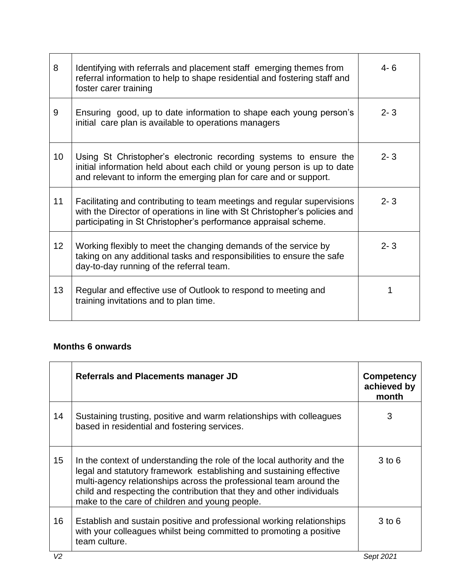| 8               | Identifying with referrals and placement staff emerging themes from<br>referral information to help to shape residential and fostering staff and<br>foster carer training                                                | $4 - 6$ |
|-----------------|--------------------------------------------------------------------------------------------------------------------------------------------------------------------------------------------------------------------------|---------|
| 9               | Ensuring good, up to date information to shape each young person's<br>initial care plan is available to operations managers                                                                                              | $2 - 3$ |
| 10 <sup>°</sup> | Using St Christopher's electronic recording systems to ensure the<br>initial information held about each child or young person is up to date<br>and relevant to inform the emerging plan for care and or support.        | $2 - 3$ |
| 11              | Facilitating and contributing to team meetings and regular supervisions<br>with the Director of operations in line with St Christopher's policies and<br>participating in St Christopher's performance appraisal scheme. | $2 - 3$ |
| 12 <sub>2</sub> | Working flexibly to meet the changing demands of the service by<br>taking on any additional tasks and responsibilities to ensure the safe<br>day-to-day running of the referral team.                                    | $2 - 3$ |
| 13              | Regular and effective use of Outlook to respond to meeting and<br>training invitations and to plan time.                                                                                                                 |         |

## **Months 6 onwards**

|    | <b>Referrals and Placements manager JD</b>                                                                                                                                                                                                                                                                                                      | <b>Competency</b><br>achieved by<br>month |
|----|-------------------------------------------------------------------------------------------------------------------------------------------------------------------------------------------------------------------------------------------------------------------------------------------------------------------------------------------------|-------------------------------------------|
| 14 | Sustaining trusting, positive and warm relationships with colleagues<br>based in residential and fostering services.                                                                                                                                                                                                                            | 3                                         |
| 15 | In the context of understanding the role of the local authority and the<br>legal and statutory framework establishing and sustaining effective<br>multi-agency relationships across the professional team around the<br>child and respecting the contribution that they and other individuals<br>make to the care of children and young people. | $3$ to $6$                                |
| 16 | Establish and sustain positive and professional working relationships<br>with your colleagues whilst being committed to promoting a positive<br>team culture.                                                                                                                                                                                   | $3$ to $6$                                |
| V2 |                                                                                                                                                                                                                                                                                                                                                 | Sept 2021                                 |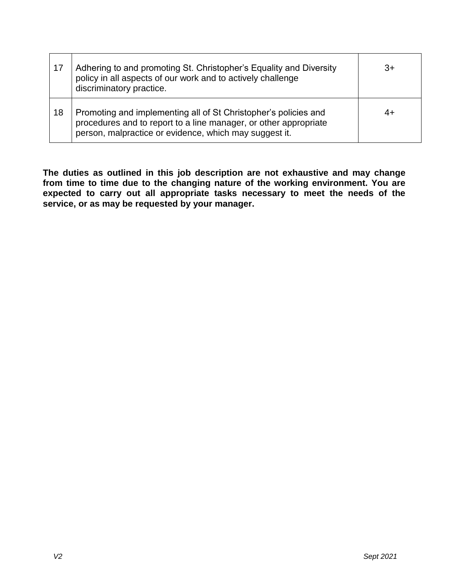| 17 | Adhering to and promoting St. Christopher's Equality and Diversity<br>policy in all aspects of our work and to actively challenge<br>discriminatory practice.                                 | 3+ |
|----|-----------------------------------------------------------------------------------------------------------------------------------------------------------------------------------------------|----|
| 18 | Promoting and implementing all of St Christopher's policies and<br>procedures and to report to a line manager, or other appropriate<br>person, malpractice or evidence, which may suggest it. | 4+ |

**The duties as outlined in this job description are not exhaustive and may change from time to time due to the changing nature of the working environment. You are expected to carry out all appropriate tasks necessary to meet the needs of the service, or as may be requested by your manager.**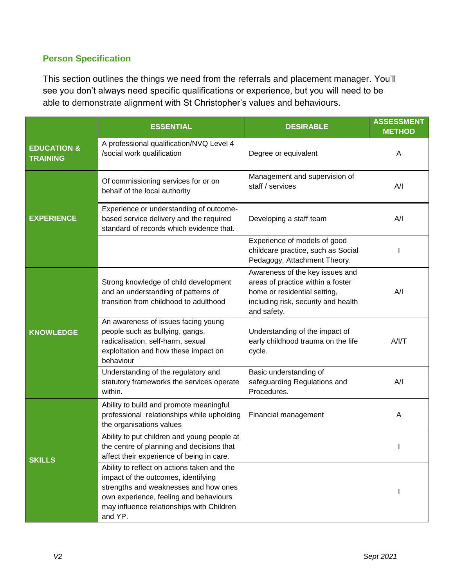### **Person Specification**

This section outlines the things we need from the referrals and placement manager. You'll see you don't always need specific qualifications or experience, but you will need to be able to demonstrate alignment with St Christopher's values and behaviours.

|                                           | <b>ESSENTIAL</b>                                                                                                                                                                                                              | <b>DESIRABLE</b>                                                                                                                                           | <b>ASSESSMENT</b><br><b>METHOD</b> |
|-------------------------------------------|-------------------------------------------------------------------------------------------------------------------------------------------------------------------------------------------------------------------------------|------------------------------------------------------------------------------------------------------------------------------------------------------------|------------------------------------|
| <b>EDUCATION &amp;</b><br><b>TRAINING</b> | A professional qualification/NVQ Level 4<br>/social work qualification                                                                                                                                                        | Degree or equivalent                                                                                                                                       | A                                  |
|                                           | Of commissioning services for or on<br>behalf of the local authority                                                                                                                                                          | Management and supervision of<br>staff / services                                                                                                          | A/I                                |
| <b>EXPERIENCE</b>                         | Experience or understanding of outcome-<br>based service delivery and the required<br>standard of records which evidence that.                                                                                                | Developing a staff team                                                                                                                                    | A/I                                |
|                                           |                                                                                                                                                                                                                               | Experience of models of good<br>childcare practice, such as Social<br>Pedagogy, Attachment Theory.                                                         |                                    |
|                                           | Strong knowledge of child development<br>and an understanding of patterns of<br>transition from childhood to adulthood                                                                                                        | Awareness of the key issues and<br>areas of practice within a foster<br>home or residential setting,<br>including risk, security and health<br>and safety. | A/I                                |
| <b>KNOWLEDGE</b>                          | An awareness of issues facing young<br>people such as bullying, gangs,<br>radicalisation, self-harm, sexual<br>exploitation and how these impact on<br>behaviour                                                              | Understanding of the impact of<br>early childhood trauma on the life<br>cycle.                                                                             | A/IT                               |
|                                           | Understanding of the regulatory and<br>statutory frameworks the services operate<br>within.                                                                                                                                   | Basic understanding of<br>safeguarding Regulations and<br>Procedures.                                                                                      | A/I                                |
|                                           | Ability to build and promote meaningful<br>professional relationships while upholding<br>the organisations values                                                                                                             | Financial management                                                                                                                                       | A                                  |
| <b>SKILLS</b>                             | Ability to put children and young people at<br>the centre of planning and decisions that<br>affect their experience of being in care.                                                                                         |                                                                                                                                                            |                                    |
|                                           | Ability to reflect on actions taken and the<br>impact of the outcomes, identifying<br>strengths and weaknesses and how ones<br>own experience, feeling and behaviours<br>may influence relationships with Children<br>and YP. |                                                                                                                                                            |                                    |